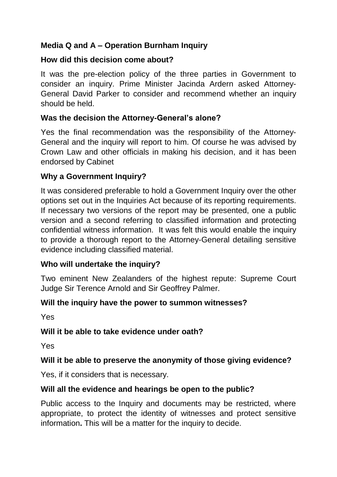## **Media Q and A – Operation Burnham Inquiry**

#### **How did this decision come about?**

It was the pre-election policy of the three parties in Government to consider an inquiry. Prime Minister Jacinda Ardern asked Attorney-General David Parker to consider and recommend whether an inquiry should be held.

#### **Was the decision the Attorney-General's alone?**

Yes the final recommendation was the responsibility of the Attorney-General and the inquiry will report to him. Of course he was advised by Crown Law and other officials in making his decision, and it has been endorsed by Cabinet

#### **Why a Government Inquiry?**

It was considered preferable to hold a Government Inquiry over the other options set out in the Inquiries Act because of its reporting requirements. If necessary two versions of the report may be presented, one a public version and a second referring to classified information and protecting confidential witness information. It was felt this would enable the inquiry to provide a thorough report to the Attorney-General detailing sensitive evidence including classified material.

## **Who will undertake the inquiry?**

Two eminent New Zealanders of the highest repute: Supreme Court Judge Sir Terence Arnold and Sir Geoffrey Palmer.

## **Will the inquiry have the power to summon witnesses?**

Yes

## **Will it be able to take evidence under oath?**

Yes

## **Will it be able to preserve the anonymity of those giving evidence?**

Yes, if it considers that is necessary.

## **Will all the evidence and hearings be open to the public?**

Public access to the Inquiry and documents may be restricted, where appropriate, to protect the identity of witnesses and protect sensitive information**.** This will be a matter for the inquiry to decide.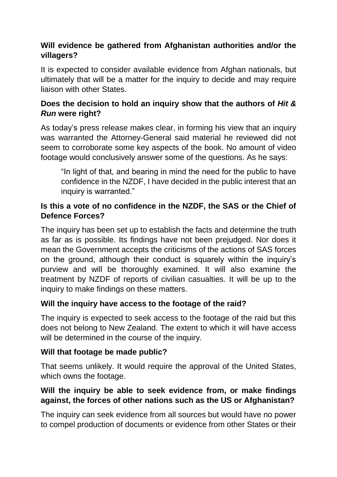# **Will evidence be gathered from Afghanistan authorities and/or the villagers?**

It is expected to consider available evidence from Afghan nationals, but ultimately that will be a matter for the inquiry to decide and may require liaison with other States.

# **Does the decision to hold an inquiry show that the authors of** *Hit & Run* **were right?**

As today's press release makes clear, in forming his view that an inquiry was warranted the Attorney-General said material he reviewed did not seem to corroborate some key aspects of the book. No amount of video footage would conclusively answer some of the questions. As he says:

"In light of that, and bearing in mind the need for the public to have confidence in the NZDF, I have decided in the public interest that an inquiry is warranted."

## **Is this a vote of no confidence in the NZDF, the SAS or the Chief of Defence Forces?**

The inquiry has been set up to establish the facts and determine the truth as far as is possible. Its findings have not been prejudged. Nor does it mean the Government accepts the criticisms of the actions of SAS forces on the ground, although their conduct is squarely within the inquiry's purview and will be thoroughly examined. It will also examine the treatment by NZDF of reports of civilian casualties. It will be up to the inquiry to make findings on these matters.

## **Will the inquiry have access to the footage of the raid?**

The inquiry is expected to seek access to the footage of the raid but this does not belong to New Zealand. The extent to which it will have access will be determined in the course of the inquiry.

## **Will that footage be made public?**

That seems unlikely. It would require the approval of the United States, which owns the footage.

#### **Will the inquiry be able to seek evidence from, or make findings against, the forces of other nations such as the US or Afghanistan?**

The inquiry can seek evidence from all sources but would have no power to compel production of documents or evidence from other States or their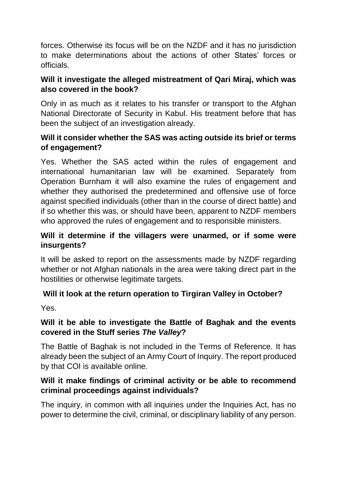forces. Otherwise its focus will be on the NZDF and it has no jurisdiction to make determinations about the actions of other States' forces or officials.

## **Will it investigate the alleged mistreatment of Qari Miraj, which was also covered in the book?**

Only in as much as it relates to his transfer or transport to the Afghan National Directorate of Security in Kabul. His treatment before that has been the subject of an investigation already.

## **Will it consider whether the SAS was acting outside its brief or terms of engagement?**

Yes. Whether the SAS acted within the rules of engagement and international humanitarian law will be examined. Separately from Operation Burnham it will also examine the rules of engagement and whether they authorised the predetermined and offensive use of force against specified individuals (other than in the course of direct battle) and if so whether this was, or should have been, apparent to NZDF members who approved the rules of engagement and to responsible ministers.

## **Will it determine if the villagers were unarmed, or if some were insurgents?**

It will be asked to report on the assessments made by NZDF regarding whether or not Afghan nationals in the area were taking direct part in the hostilities or otherwise legitimate targets.

## **Will it look at the return operation to Tirgiran Valley in October?**

Yes.

## **Will it be able to investigate the Battle of Baghak and the events covered in the Stuff series** *The Valley***?**

The Battle of Baghak is not included in the Terms of Reference. It has already been the subject of an Army Court of Inquiry. The report produced by that COI is available online.

## **Will it make findings of criminal activity or be able to recommend criminal proceedings against individuals?**

The inquiry, in common with all inquiries under the Inquiries Act, has no power to determine the civil, criminal, or disciplinary liability of any person.